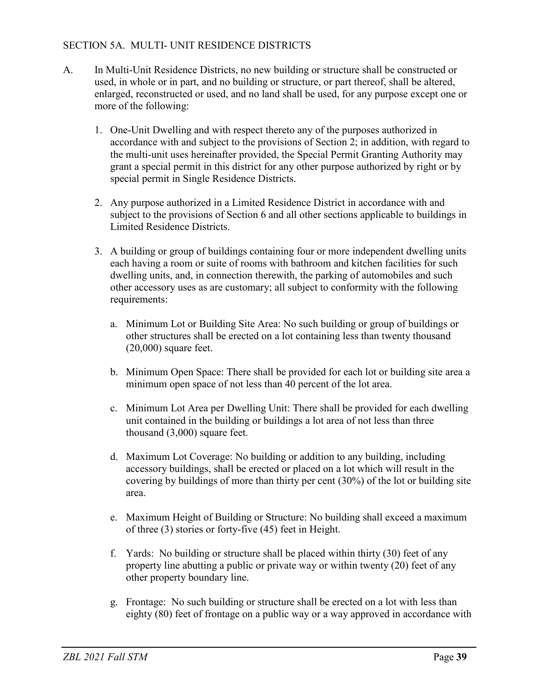## SECTION 5A. MULTI- UNIT RESIDENCE DISTRICTS

- A. In Multi-Unit Residence Districts, no new building or structure shall be constructed or used, in whole or in part, and no building or structure, or part thereof, shall be altered, enlarged, reconstructed or used, and no land shall be used, for any purpose except one or more of the following:
	- 1. One-Unit Dwelling and with respect thereto any of the purposes authorized in accordance with and subject to the provisions of Section 2; in addition, with regard to the multi-unit uses hereinafter provided, the Special Permit Granting Authority may grant a special permit in this district for any other purpose authorized by right or by special permit in Single Residence Districts.
	- 2. Any purpose authorized in a Limited Residence District in accordance with and subject to the provisions of Section 6 and all other sections applicable to buildings in Limited Residence Districts.
	- 3. A building or group of buildings containing four or more independent dwelling units each having a room or suite of rooms with bathroom and kitchen facilities for such dwelling units, and, in connection therewith, the parking of automobiles and such other accessory uses as are customary; all subject to conformity with the following requirements:
		- a. Minimum Lot or Building Site Area: No such building or group of buildings or other structures shall be erected on a lot containing less than twenty thousand (20,000) square feet.
		- b. Minimum Open Space: There shall be provided for each lot or building site area a minimum open space of not less than 40 percent of the lot area.
		- c. Minimum Lot Area per Dwelling Unit: There shall be provided for each dwelling unit contained in the building or buildings a lot area of not less than three thousand (3,000) square feet.
		- d. Maximum Lot Coverage: No building or addition to any building, including accessory buildings, shall be erected or placed on a lot which will result in the covering by buildings of more than thirty per cent (30%) of the lot or building site area.
		- e. Maximum Height of Building or Structure: No building shall exceed a maximum of three (3) stories or forty-five (45) feet in Height.
		- f. Yards: No building or structure shall be placed within thirty (30) feet of any property line abutting a public or private way or within twenty  $(20)$  feet of any other property boundary line.
		- g. Frontage: No such building or structure shall be erected on a lot with less than eighty (80) feet of frontage on a public way or a way approved in accordance with